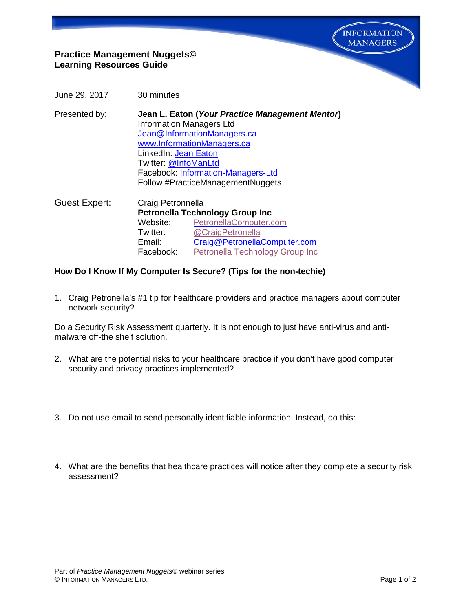

# **Practice Management Nuggets© Learning Resources Guide**

- June 29, 2017 30 minutes
- Presented by: **Jean L. Eaton (***Your Practice Management Mentor***)** Information Managers Ltd [Jean@InformationManagers.ca](mailto:Jean@InformationManagers.ca) [www.InformationManagers.ca](http://www.informationmanagers.ca/) LinkedIn: [Jean Eaton](http://www.linkedin.com/in/jeaneaton) Twitter: [@InfoManLtd](https://twitter.com/InfoManLtd)  Facebook: [Information-Managers-Ltd](https://www.facebook.com/pages/Information-Managers-Ltd/291303607725640) Follow #PracticeManagementNuggets
- Guest Expert: Craig Petronnella **Petronella Technology Group Inc** Website: [PetronellaComputer.com](https://t.co/7d3aTVv2O5) Twitter: **@[CraigPetronella](https://twitter.com/craigpetronella)**<br>Email: Craig@Petronella [Craig@PetronellaComputer.com](mailto:Craig@PetronellaComputer.com) Facebook: [Petronella Technology Group Inc](https://www.facebook.com/manageditservices/)

### **How Do I Know If My Computer Is Secure? (Tips for the non-techie)**

1. Craig Petronella's #1 tip for healthcare providers and practice managers about computer network security?

Do a Security Risk Assessment quarterly. It is not enough to just have anti-virus and antimalware off-the shelf solution.

- 2. What are the potential risks to your healthcare practice if you don't have good computer security and privacy practices implemented?
- 3. Do not use email to send personally identifiable information. Instead, do this:
- 4. What are the benefits that healthcare practices will notice after they complete a security risk assessment?